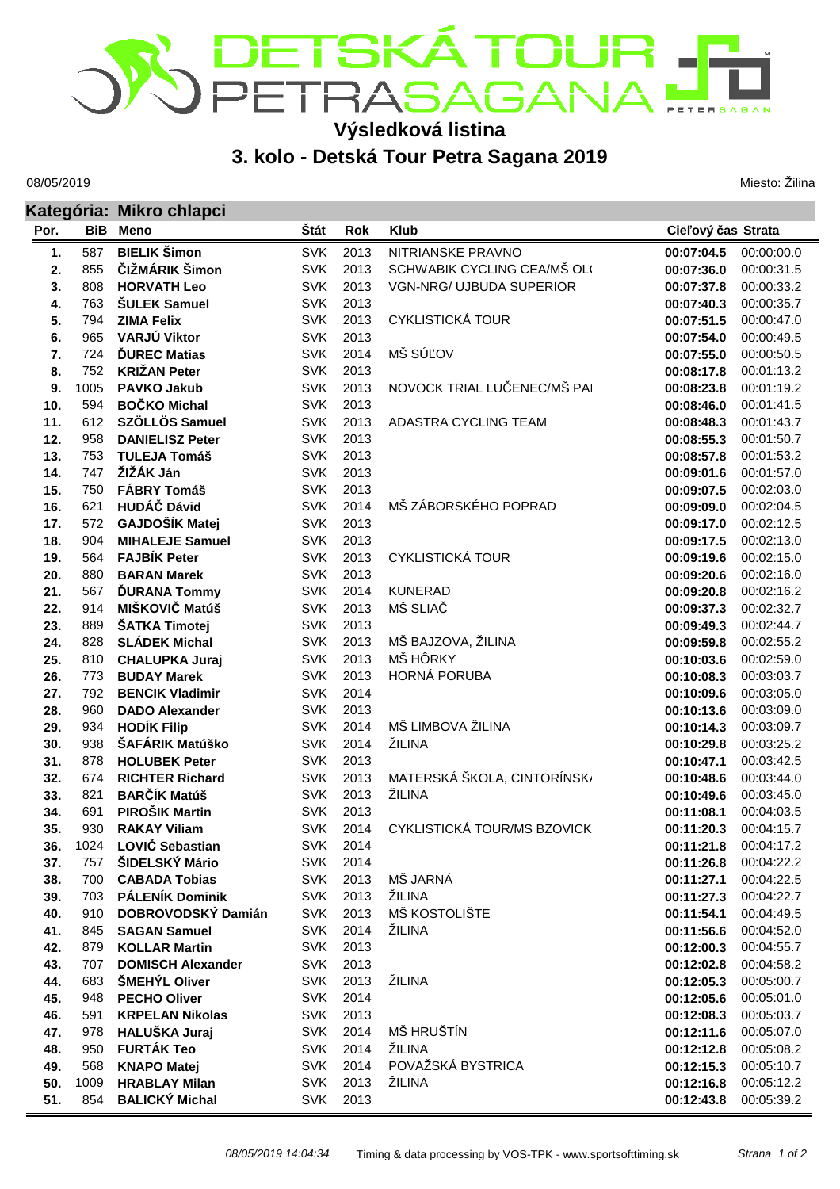

## **Výsledková listina**

## **3. kolo - Detská Tour Petra Sagana 2019**

08/05/2019

Miesto: Žilina

|            |            | Kategória: Mikro chlapci                    |                          |              |                                 |                          |                          |
|------------|------------|---------------------------------------------|--------------------------|--------------|---------------------------------|--------------------------|--------------------------|
| Por.       | BiB        | Meno                                        | Štát                     | Rok          | <b>Klub</b>                     | Cieľový čas Strata       |                          |
| 1.         | 587        | <b>BIELIK Šimon</b>                         | <b>SVK</b>               | 2013         | NITRIANSKE PRAVNO               | 00:07:04.5               | 00:00:00.0               |
| 2.         | 855        | ČIŽMÁRIK Šimon                              | <b>SVK</b>               | 2013         | SCHWABIK CYCLING CEA/MŠ OL(     | 00:07:36.0               | 00:00:31.5               |
| 3.         | 808        | <b>HORVATH Leo</b>                          | <b>SVK</b>               | 2013         | <b>VGN-NRG/ UJBUDA SUPERIOR</b> | 00:07:37.8               | 00:00:33.2               |
| 4.         | 763        | <b>ŠULEK Samuel</b>                         | <b>SVK</b>               | 2013         |                                 | 00:07:40.3               | 00:00:35.7               |
| 5.         | 794        | <b>ZIMA Felix</b>                           | <b>SVK</b>               | 2013         | <b>CYKLISTICKÁ TOUR</b>         | 00:07:51.5               | 00:00:47.0               |
| 6.         | 965        | VARJÚ Viktor                                | <b>SVK</b>               | 2013         |                                 | 00:07:54.0               | 00:00:49.5               |
| 7.         | 724        | <b>DUREC Matias</b>                         | <b>SVK</b>               | 2014         | MŠ SÚĽOV                        | 00:07:55.0               | 00:00:50.5               |
| 8.         | 752        | <b>KRIŽAN Peter</b>                         | <b>SVK</b>               | 2013         |                                 | 00:08:17.8               | 00:01:13.2               |
| 9.         | 1005       | <b>PAVKO Jakub</b>                          | <b>SVK</b>               | 2013         | NOVOCK TRIAL LUČENEC/MŠ PAI     | 00:08:23.8               | 00:01:19.2               |
| 10.        | 594        | <b>BOČKO Michal</b>                         | <b>SVK</b>               | 2013         |                                 | 00:08:46.0               | 00:01:41.5               |
| 11.        | 612        | SZÖLLÖS Samuel                              | <b>SVK</b>               | 2013         | ADASTRA CYCLING TEAM            | 00:08:48.3               | 00:01:43.7               |
| 12.        | 958        | <b>DANIELISZ Peter</b>                      | <b>SVK</b>               | 2013         |                                 | 00:08:55.3               | 00:01:50.7               |
| 13.        | 753        | <b>TULEJA Tomáš</b>                         | <b>SVK</b>               | 2013         |                                 | 00:08:57.8               | 00:01:53.2               |
| 14.        | 747        | ŽIŽÁK Ján                                   | <b>SVK</b>               | 2013         |                                 | 00:09:01.6               | 00:01:57.0               |
| 15.        | 750        | <b>FÁBRY Tomáš</b>                          | <b>SVK</b>               | 2013         |                                 | 00:09:07.5               | 00:02:03.0               |
| 16.        | 621        | <b>HUDÁČ Dávid</b>                          | <b>SVK</b>               | 2014         | MŠ ZÁBORSKÉHO POPRAD            | 00:09:09.0               | 00:02:04.5               |
| 17.        | 572        | GAJDOŠÍK Matej                              | <b>SVK</b>               | 2013         |                                 | 00:09:17.0               | 00:02:12.5               |
| 18.        | 904        | <b>MIHALEJE Samuel</b>                      | <b>SVK</b>               | 2013         |                                 | 00:09:17.5               | 00:02:13.0               |
| 19.        | 564        | <b>FAJBÍK Peter</b>                         | <b>SVK</b>               | 2013         | <b>CYKLISTICKÁ TOUR</b>         | 00:09:19.6               | 00:02:15.0               |
| 20.        | 880        | <b>BARAN Marek</b>                          | <b>SVK</b>               | 2013         |                                 | 00:09:20.6               | 00:02:16.0               |
| 21.        | 567        | <b>ĎURANA Tommy</b>                         | <b>SVK</b>               | 2014         | <b>KUNERAD</b>                  | 00:09:20.8               | 00:02:16.2               |
| 22.        | 914        | MIŠKOVIČ Matúš                              | <b>SVK</b>               | 2013         | MŠ SLIAČ                        | 00:09:37.3               | 00:02:32.7               |
| 23.        | 889        | ŠATKA Timotej                               | <b>SVK</b>               | 2013         |                                 | 00:09:49.3               | 00:02:44.7               |
| 24.        | 828        | <b>SLÁDEK Michal</b>                        | <b>SVK</b>               | 2013         | MŠ BAJZOVA, ŽILINA              | 00:09:59.8               | 00:02:55.2               |
| 25.        | 810        | <b>CHALUPKA Juraj</b>                       | <b>SVK</b>               | 2013         | MŠ HÔRKY                        | 00:10:03.6               | 00:02:59.0               |
| 26.        | 773        | <b>BUDAY Marek</b>                          | <b>SVK</b><br><b>SVK</b> | 2013         | HORNÁ PORUBA                    | 00:10:08.3               | 00:03:03.7               |
| 27.<br>28. | 792<br>960 | <b>BENCIK Vladimir</b>                      | <b>SVK</b>               | 2014<br>2013 |                                 | 00:10:09.6               | 00:03:05.0               |
|            | 934        | <b>DADO Alexander</b><br><b>HODÍK Filip</b> | <b>SVK</b>               | 2014         | MŠ LIMBOVA ŽILINA               | 00:10:13.6               | 00:03:09.0               |
| 29.<br>30. | 938        | ŠAFÁRIK Matúško                             | <b>SVK</b>               | 2014         | ŽILINA                          | 00:10:14.3<br>00:10:29.8 | 00:03:09.7<br>00:03:25.2 |
| 31.        | 878        | <b>HOLUBEK Peter</b>                        | <b>SVK</b>               | 2013         |                                 | 00:10:47.1               | 00:03:42.5               |
| 32.        | 674        | <b>RICHTER Richard</b>                      | <b>SVK</b>               | 2013         | MATERSKÁ ŠKOLA, CINTORÍNSK/     | 00:10:48.6               | 00:03:44.0               |
| 33.        | 821        | <b>BARČÍK Matúš</b>                         | <b>SVK</b>               | 2013         | ŽILINA                          | 00:10:49.6               | 00:03:45.0               |
| 34.        | 691        | PIROŠIK Martin                              | <b>SVK</b>               | 2013         |                                 | 00:11:08.1               | 00:04:03.5               |
| 35.        | 930        | <b>RAKAY Viliam</b>                         | <b>SVK</b>               | 2014         | CYKLISTICKÁ TOUR/MS BZOVICK     | 00:11:20.3               | 00:04:15.7               |
| 36.        | 1024       | <b>LOVIČ Sebastian</b>                      | <b>SVK</b>               | 2014         |                                 | 00:11:21.8               | 00:04:17.2               |
| 37.        | 757        | ŠIDELSKÝ Mário                              | <b>SVK</b>               | 2014         |                                 | 00:11:26.8               | 00:04:22.2               |
| 38.        | 700        | <b>CABADA Tobias</b>                        | <b>SVK</b>               | 2013         | MŠ JARNÁ                        | 00:11:27.1               | 00:04:22.5               |
| 39.        | 703        | <b>PÁLENÍK Dominik</b>                      | <b>SVK</b>               | 2013         | ŽILINA                          | 00:11:27.3               | 00:04:22.7               |
| 40.        | 910        | DOBROVODSKÝ Damián                          | <b>SVK</b>               | 2013         | MŠ KOSTOLIŠTE                   | 00:11:54.1               | 00:04:49.5               |
| 41.        | 845        | <b>SAGAN Samuel</b>                         | <b>SVK</b>               | 2014         | ŽILINA                          | 00:11:56.6               | 00:04:52.0               |
| 42.        | 879        | <b>KOLLAR Martin</b>                        | <b>SVK</b>               | 2013         |                                 | 00:12:00.3               | 00:04:55.7               |
| 43.        | 707        | <b>DOMISCH Alexander</b>                    | <b>SVK</b>               | 2013         |                                 | 00:12:02.8               | 00:04:58.2               |
| 44.        | 683        | ŠMEHÝL Oliver                               | <b>SVK</b>               | 2013         | ŽILINA                          | 00:12:05.3               | 00:05:00.7               |
| 45.        | 948        | <b>PECHO Oliver</b>                         | <b>SVK</b>               | 2014         |                                 | 00:12:05.6               | 00:05:01.0               |
| 46.        | 591        | <b>KRPELAN Nikolas</b>                      | <b>SVK</b>               | 2013         |                                 | 00:12:08.3               | 00:05:03.7               |
| 47.        | 978        | HALUŠKA Juraj                               | <b>SVK</b>               | 2014         | MŠ HRUŠTÍN                      | 00:12:11.6               | 00:05:07.0               |
| 48.        | 950        | <b>FURTÁK Teo</b>                           | <b>SVK</b>               | 2014         | ŽILINA                          | 00:12:12.8               | 00:05:08.2               |
| 49.        | 568        | <b>KNAPO Matej</b>                          | <b>SVK</b>               | 2014         | POVAŽSKÁ BYSTRICA               | 00:12:15.3               | 00:05:10.7               |
| 50.        | 1009       | <b>HRABLAY Milan</b>                        | <b>SVK</b>               | 2013         | ŽILINA                          | 00:12:16.8               | 00:05:12.2               |
| 51.        | 854        | <b>BALICKÝ Michal</b>                       |                          | SVK 2013     |                                 | 00:12:43.8               | 00:05:39.2               |
|            |            |                                             |                          |              |                                 |                          |                          |